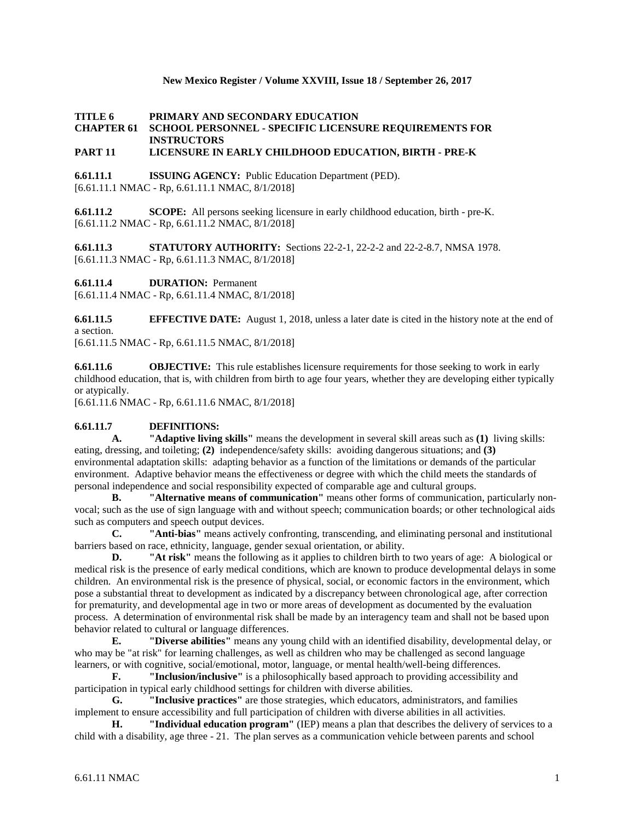#### **New Mexico Register / Volume XXVIII, Issue 18 / September 26, 2017**

### **TITLE 6 PRIMARY AND SECONDARY EDUCATION CHAPTER 61 SCHOOL PERSONNEL - SPECIFIC LICENSURE REQUIREMENTS FOR INSTRUCTORS**

## **PART 11 LICENSURE IN EARLY CHILDHOOD EDUCATION, BIRTH - PRE-K**

**6.61.11.1 ISSUING AGENCY:** Public Education Department (PED). [6.61.11.1 NMAC - Rp, 6.61.11.1 NMAC, 8/1/2018]

**6.61.11.2 SCOPE:** All persons seeking licensure in early childhood education, birth - pre-K. [6.61.11.2 NMAC - Rp, 6.61.11.2 NMAC, 8/1/2018]

**6.61.11.3 STATUTORY AUTHORITY:** Sections 22-2-1, 22-2-2 and 22-2-8.7, NMSA 1978. [6.61.11.3 NMAC - Rp, 6.61.11.3 NMAC, 8/1/2018]

**6.61.11.4 DURATION:** Permanent

[6.61.11.4 NMAC - Rp, 6.61.11.4 NMAC, 8/1/2018]

**6.61.11.5 EFFECTIVE DATE:** August 1, 2018, unless a later date is cited in the history note at the end of a section.

[6.61.11.5 NMAC - Rp, 6.61.11.5 NMAC, 8/1/2018]

**6.61.11.6 OBJECTIVE:** This rule establishes licensure requirements for those seeking to work in early childhood education, that is, with children from birth to age four years, whether they are developing either typically or atypically.

[6.61.11.6 NMAC - Rp, 6.61.11.6 NMAC, 8/1/2018]

# **6.61.11.7 DEFINITIONS:**

**A. "Adaptive living skills"** means the development in several skill areas such as **(1)** living skills: eating, dressing, and toileting; **(2)** independence/safety skills: avoiding dangerous situations; and **(3)** environmental adaptation skills: adapting behavior as a function of the limitations or demands of the particular environment. Adaptive behavior means the effectiveness or degree with which the child meets the standards of personal independence and social responsibility expected of comparable age and cultural groups.

**B. "Alternative means of communication"** means other forms of communication, particularly nonvocal; such as the use of sign language with and without speech; communication boards; or other technological aids such as computers and speech output devices.

**C. "Anti-bias"** means actively confronting, transcending, and eliminating personal and institutional barriers based on race, ethnicity, language, gender sexual orientation, or ability.

**D. "At risk"** means the following as it applies to children birth to two years of age: A biological or medical risk is the presence of early medical conditions, which are known to produce developmental delays in some children. An environmental risk is the presence of physical, social, or economic factors in the environment, which pose a substantial threat to development as indicated by a discrepancy between chronological age, after correction for prematurity, and developmental age in two or more areas of development as documented by the evaluation process. A determination of environmental risk shall be made by an interagency team and shall not be based upon behavior related to cultural or language differences.

**E. "Diverse abilities"** means any young child with an identified disability, developmental delay, or who may be "at risk" for learning challenges, as well as children who may be challenged as second language learners, or with cognitive, social/emotional, motor, language, or mental health/well-being differences.

**F. "Inclusion/inclusive"** is a philosophically based approach to providing accessibility and participation in typical early childhood settings for children with diverse abilities.

**G. "Inclusive practices"** are those strategies, which educators, administrators, and families implement to ensure accessibility and full participation of children with diverse abilities in all activities.

**H. "Individual education program"** (IEP) means a plan that describes the delivery of services to a child with a disability, age three - 21. The plan serves as a communication vehicle between parents and school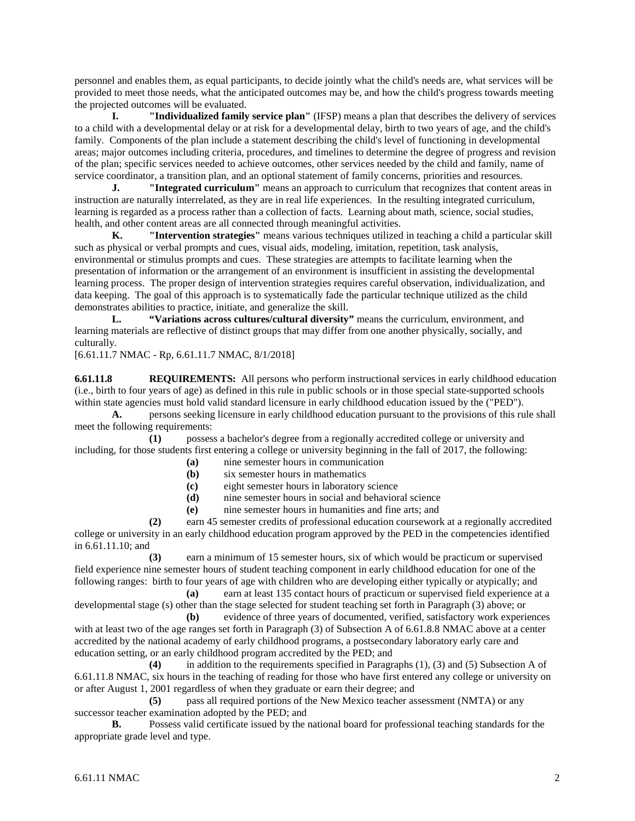personnel and enables them, as equal participants, to decide jointly what the child's needs are, what services will be provided to meet those needs, what the anticipated outcomes may be, and how the child's progress towards meeting the projected outcomes will be evaluated.

**I. "Individualized family service plan"** (IFSP) means a plan that describes the delivery of services to a child with a developmental delay or at risk for a developmental delay, birth to two years of age, and the child's family. Components of the plan include a statement describing the child's level of functioning in developmental areas; major outcomes including criteria, procedures, and timelines to determine the degree of progress and revision of the plan; specific services needed to achieve outcomes, other services needed by the child and family, name of service coordinator, a transition plan, and an optional statement of family concerns, priorities and resources.

**J. "Integrated curriculum"** means an approach to curriculum that recognizes that content areas in instruction are naturally interrelated, as they are in real life experiences. In the resulting integrated curriculum, learning is regarded as a process rather than a collection of facts. Learning about math, science, social studies, health, and other content areas are all connected through meaningful activities.

**K. "Intervention strategies"** means various techniques utilized in teaching a child a particular skill such as physical or verbal prompts and cues, visual aids, modeling, imitation, repetition, task analysis, environmental or stimulus prompts and cues. These strategies are attempts to facilitate learning when the presentation of information or the arrangement of an environment is insufficient in assisting the developmental learning process. The proper design of intervention strategies requires careful observation, individualization, and data keeping. The goal of this approach is to systematically fade the particular technique utilized as the child demonstrates abilities to practice, initiate, and generalize the skill.

**L. "Variations across cultures/cultural diversity"** means the curriculum, environment, and learning materials are reflective of distinct groups that may differ from one another physically, socially, and culturally.

#### [6.61.11.7 NMAC - Rp, 6.61.11.7 NMAC, 8/1/2018]

**6.61.11.8 REQUIREMENTS:** All persons who perform instructional services in early childhood education (i.e., birth to four years of age) as defined in this rule in public schools or in those special state-supported schools within state agencies must hold valid standard licensure in early childhood education issued by the ("PED").

**A.** persons seeking licensure in early childhood education pursuant to the provisions of this rule shall meet the following requirements:

**(1)** possess a bachelor's degree from a regionally accredited college or university and including, for those students first entering a college or university beginning in the fall of 2017, the following:

- **(a)** nine semester hours in communication
- **(b)** six semester hours in mathematics<br>**(c)** eight semester hours in laboratory
- **(c)** eight semester hours in laboratory science
- **(d)** nine semester hours in social and behavioral science
- **(e)** nine semester hours in humanities and fine arts; and

**(2)** earn 45 semester credits of professional education coursework at a regionally accredited college or university in an early childhood education program approved by the PED in the competencies identified in 6.61.11.10; and

**(3)** earn a minimum of 15 semester hours, six of which would be practicum or supervised field experience nine semester hours of student teaching component in early childhood education for one of the following ranges: birth to four years of age with children who are developing either typically or atypically; and

**(a)** earn at least 135 contact hours of practicum or supervised field experience at a developmental stage (s) other than the stage selected for student teaching set forth in Paragraph (3) above; or

**(b)** evidence of three years of documented, verified, satisfactory work experiences with at least two of the age ranges set forth in Paragraph (3) of Subsection A of 6.61.8.8 NMAC above at a center accredited by the national academy of early childhood programs, a postsecondary laboratory early care and education setting, or an early childhood program accredited by the PED; and

**(4)** in addition to the requirements specified in Paragraphs (1), (3) and (5) Subsection A of 6.61.11.8 NMAC, six hours in the teaching of reading for those who have first entered any college or university on or after August 1, 2001 regardless of when they graduate or earn their degree; and

**(5)** pass all required portions of the New Mexico teacher assessment (NMTA) or any successor teacher examination adopted by the PED; and<br>**B.** Possess valid certificate issued by the i

**B.** Possess valid certificate issued by the national board for professional teaching standards for the appropriate grade level and type.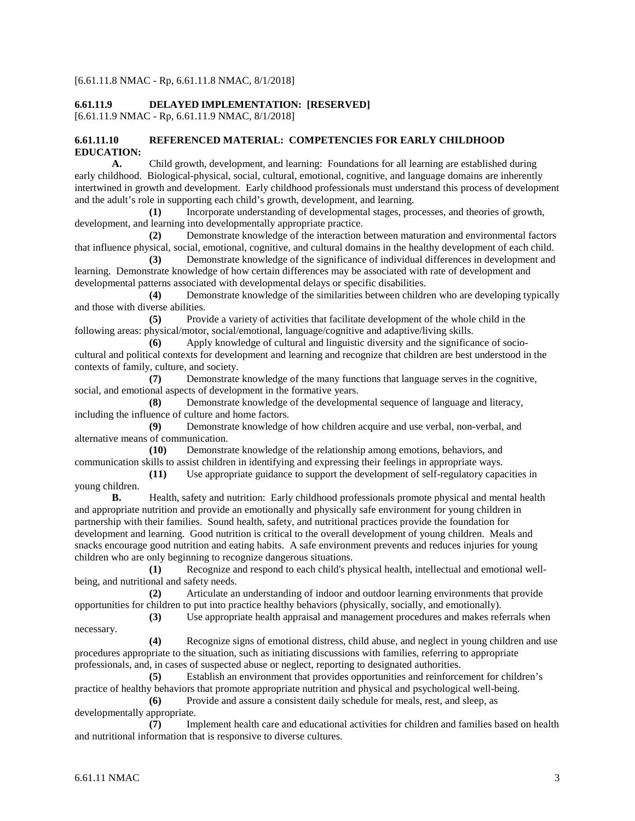#### [6.61.11.8 NMAC - Rp, 6.61.11.8 NMAC, 8/1/2018]

# **6.61.11.9 DELAYED IMPLEMENTATION: [RESERVED]**

[6.61.11.9 NMAC - Rp, 6.61.11.9 NMAC, 8/1/2018]

#### **6.61.11.10 REFERENCED MATERIAL: COMPETENCIES FOR EARLY CHILDHOOD EDUCATION:**

**A.** Child growth, development, and learning: Foundations for all learning are established during early childhood. Biological-physical, social, cultural, emotional, cognitive, and language domains are inherently intertwined in growth and development. Early childhood professionals must understand this process of development and the adult's role in supporting each child's growth, development, and learning.

**(1)** Incorporate understanding of developmental stages, processes, and theories of growth, development, and learning into developmentally appropriate practice.

**(2)** Demonstrate knowledge of the interaction between maturation and environmental factors that influence physical, social, emotional, cognitive, and cultural domains in the healthy development of each child.

**(3)** Demonstrate knowledge of the significance of individual differences in development and learning. Demonstrate knowledge of how certain differences may be associated with rate of development and developmental patterns associated with developmental delays or specific disabilities.

**(4)** Demonstrate knowledge of the similarities between children who are developing typically and those with diverse abilities.

**(5)** Provide a variety of activities that facilitate development of the whole child in the following areas: physical/motor, social/emotional, language/cognitive and adaptive/living skills.

**(6)** Apply knowledge of cultural and linguistic diversity and the significance of sociocultural and political contexts for development and learning and recognize that children are best understood in the contexts of family, culture, and society.

**(7)** Demonstrate knowledge of the many functions that language serves in the cognitive, social, and emotional aspects of development in the formative years.

**(8)** Demonstrate knowledge of the developmental sequence of language and literacy, including the influence of culture and home factors.

**(9)** Demonstrate knowledge of how children acquire and use verbal, non-verbal, and alternative means of communication.

**(10)** Demonstrate knowledge of the relationship among emotions, behaviors, and communication skills to assist children in identifying and expressing their feelings in appropriate ways.

**(11)** Use appropriate guidance to support the development of self-regulatory capacities in young children.

**B.** Health, safety and nutrition: Early childhood professionals promote physical and mental health and appropriate nutrition and provide an emotionally and physically safe environment for young children in partnership with their families. Sound health, safety, and nutritional practices provide the foundation for development and learning. Good nutrition is critical to the overall development of young children. Meals and snacks encourage good nutrition and eating habits. A safe environment prevents and reduces injuries for young children who are only beginning to recognize dangerous situations.

**(1)** Recognize and respond to each child's physical health, intellectual and emotional wellbeing, and nutritional and safety needs.

**(2)** Articulate an understanding of indoor and outdoor learning environments that provide opportunities for children to put into practice healthy behaviors (physically, socially, and emotionally).

**(3)** Use appropriate health appraisal and management procedures and makes referrals when necessary.

**(4)** Recognize signs of emotional distress, child abuse, and neglect in young children and use procedures appropriate to the situation, such as initiating discussions with families, referring to appropriate professionals, and, in cases of suspected abuse or neglect, reporting to designated authorities.

**(5)** Establish an environment that provides opportunities and reinforcement for children's practice of healthy behaviors that promote appropriate nutrition and physical and psychological well-being.

**(6)** Provide and assure a consistent daily schedule for meals, rest, and sleep, as developmentally appropriate.

**(7)** Implement health care and educational activities for children and families based on health and nutritional information that is responsive to diverse cultures.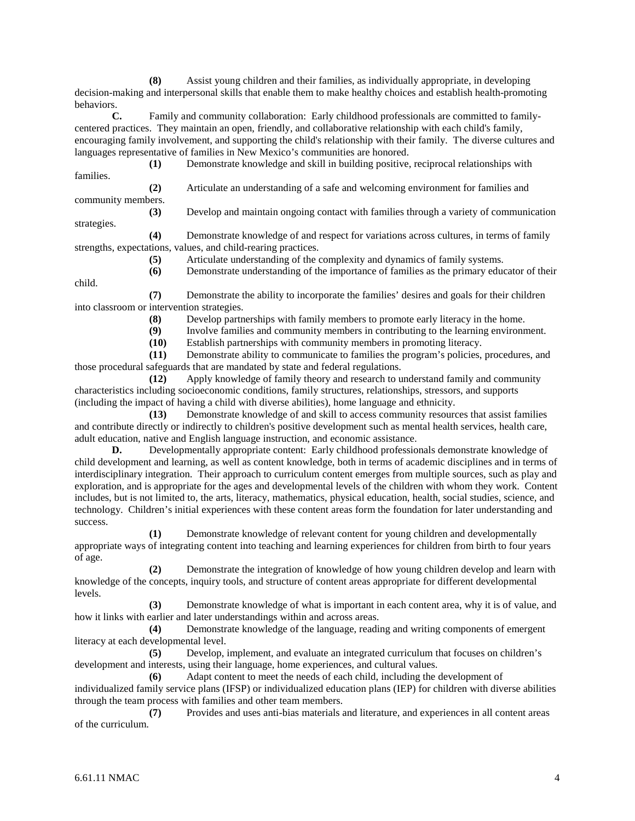**(8)** Assist young children and their families, as individually appropriate, in developing decision-making and interpersonal skills that enable them to make healthy choices and establish health-promoting behaviors.

**C.** Family and community collaboration: Early childhood professionals are committed to familycentered practices. They maintain an open, friendly, and collaborative relationship with each child's family, encouraging family involvement, and supporting the child's relationship with their family. The diverse cultures and languages representative of families in New Mexico's communities are honored.

**(1)** Demonstrate knowledge and skill in building positive, reciprocal relationships with families.

**(2)** Articulate an understanding of a safe and welcoming environment for families and community members.

**(3)** Develop and maintain ongoing contact with families through a variety of communication

**(4)** Demonstrate knowledge of and respect for variations across cultures, in terms of family strengths, expectations, values, and child-rearing practices.

**(5)** Articulate understanding of the complexity and dynamics of family systems.

child.

strategies.

**(6)** Demonstrate understanding of the importance of families as the primary educator of their

**(7)** Demonstrate the ability to incorporate the families' desires and goals for their children into classroom or intervention strategies.

**(8)** Develop partnerships with family members to promote early literacy in the home.

(9) Involve families and community members in contributing to the learning environment.<br>
(10) Establish partnerships with community members in promoting literacy.

**(10)** Establish partnerships with community members in promoting literacy.

**(11)** Demonstrate ability to communicate to families the program's policies, procedures, and those procedural safeguards that are mandated by state and federal regulations.

**(12)** Apply knowledge of family theory and research to understand family and community characteristics including socioeconomic conditions, family structures, relationships, stressors, and supports (including the impact of having a child with diverse abilities), home language and ethnicity.

**(13)** Demonstrate knowledge of and skill to access community resources that assist families and contribute directly or indirectly to children's positive development such as mental health services, health care, adult education, native and English language instruction, and economic assistance.

**D.** Developmentally appropriate content: Early childhood professionals demonstrate knowledge of child development and learning, as well as content knowledge, both in terms of academic disciplines and in terms of interdisciplinary integration. Their approach to curriculum content emerges from multiple sources, such as play and exploration, and is appropriate for the ages and developmental levels of the children with whom they work. Content includes, but is not limited to, the arts, literacy, mathematics, physical education, health, social studies, science, and technology. Children's initial experiences with these content areas form the foundation for later understanding and success.

**(1)** Demonstrate knowledge of relevant content for young children and developmentally appropriate ways of integrating content into teaching and learning experiences for children from birth to four years of age.

**(2)** Demonstrate the integration of knowledge of how young children develop and learn with knowledge of the concepts, inquiry tools, and structure of content areas appropriate for different developmental levels.

**(3)** Demonstrate knowledge of what is important in each content area, why it is of value, and how it links with earlier and later understandings within and across areas.

**(4)** Demonstrate knowledge of the language, reading and writing components of emergent literacy at each developmental level.

**(5)** Develop, implement, and evaluate an integrated curriculum that focuses on children's development and interests, using their language, home experiences, and cultural values.

**(6)** Adapt content to meet the needs of each child, including the development of individualized family service plans (IFSP) or individualized education plans (IEP) for children with diverse abilities through the team process with families and other team members.

**(7)** Provides and uses anti-bias materials and literature, and experiences in all content areas of the curriculum.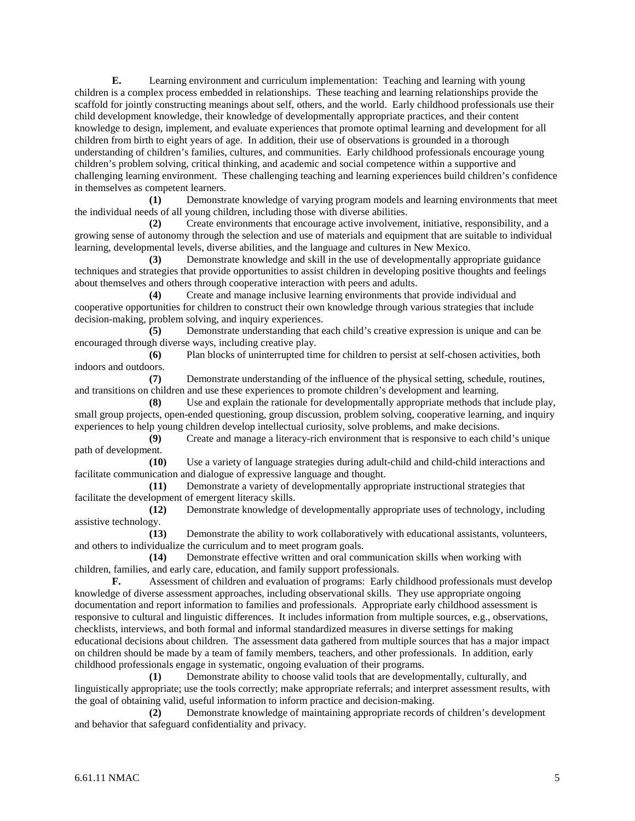**E.** Learning environment and curriculum implementation: Teaching and learning with young children is a complex process embedded in relationships. These teaching and learning relationships provide the scaffold for jointly constructing meanings about self, others, and the world. Early childhood professionals use their child development knowledge, their knowledge of developmentally appropriate practices, and their content knowledge to design, implement, and evaluate experiences that promote optimal learning and development for all children from birth to eight years of age. In addition, their use of observations is grounded in a thorough understanding of children's families, cultures, and communities. Early childhood professionals encourage young children's problem solving, critical thinking, and academic and social competence within a supportive and challenging learning environment. These challenging teaching and learning experiences build children's confidence in themselves as competent learners.

**(1)** Demonstrate knowledge of varying program models and learning environments that meet the individual needs of all young children, including those with diverse abilities.

**(2)** Create environments that encourage active involvement, initiative, responsibility, and a growing sense of autonomy through the selection and use of materials and equipment that are suitable to individual learning, developmental levels, diverse abilities, and the language and cultures in New Mexico.

**(3)** Demonstrate knowledge and skill in the use of developmentally appropriate guidance techniques and strategies that provide opportunities to assist children in developing positive thoughts and feelings about themselves and others through cooperative interaction with peers and adults.

**(4)** Create and manage inclusive learning environments that provide individual and cooperative opportunities for children to construct their own knowledge through various strategies that include decision-making, problem solving, and inquiry experiences.

**(5)** Demonstrate understanding that each child's creative expression is unique and can be encouraged through diverse ways, including creative play.

**(6)** Plan blocks of uninterrupted time for children to persist at self-chosen activities, both indoors and outdoors.

**(7)** Demonstrate understanding of the influence of the physical setting, schedule, routines, and transitions on children and use these experiences to promote children's development and learning.

**(8)** Use and explain the rationale for developmentally appropriate methods that include play, small group projects, open-ended questioning, group discussion, problem solving, cooperative learning, and inquiry experiences to help young children develop intellectual curiosity, solve problems, and make decisions.

**(9)** Create and manage a literacy-rich environment that is responsive to each child's unique path of development.

**(10)** Use a variety of language strategies during adult-child and child-child interactions and facilitate communication and dialogue of expressive language and thought.<br>(11) Demonstrate a variety of developmentally appro-

Demonstrate a variety of developmentally appropriate instructional strategies that facilitate the development of emergent literacy skills.

**(12)** Demonstrate knowledge of developmentally appropriate uses of technology, including assistive technology.

**(13)** Demonstrate the ability to work collaboratively with educational assistants, volunteers, and others to individualize the curriculum and to meet program goals.

**(14)** Demonstrate effective written and oral communication skills when working with children, families, and early care, education, and family support professionals.

**F.** Assessment of children and evaluation of programs: Early childhood professionals must develop knowledge of diverse assessment approaches, including observational skills. They use appropriate ongoing documentation and report information to families and professionals. Appropriate early childhood assessment is responsive to cultural and linguistic differences. It includes information from multiple sources, e.g., observations, checklists, interviews, and both formal and informal standardized measures in diverse settings for making educational decisions about children. The assessment data gathered from multiple sources that has a major impact on children should be made by a team of family members, teachers, and other professionals. In addition, early childhood professionals engage in systematic, ongoing evaluation of their programs.

**(1)** Demonstrate ability to choose valid tools that are developmentally, culturally, and linguistically appropriate; use the tools correctly; make appropriate referrals; and interpret assessment results, with the goal of obtaining valid, useful information to inform practice and decision-making.

**(2)** Demonstrate knowledge of maintaining appropriate records of children's development and behavior that safeguard confidentiality and privacy.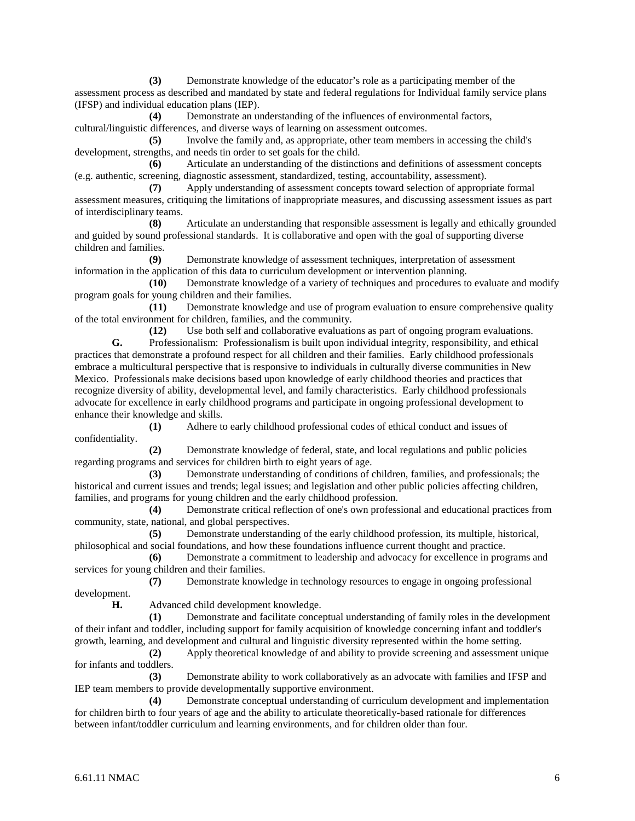**(3)** Demonstrate knowledge of the educator's role as a participating member of the assessment process as described and mandated by state and federal regulations for Individual family service plans (IFSP) and individual education plans (IEP).

**(4)** Demonstrate an understanding of the influences of environmental factors, cultural/linguistic differences, and diverse ways of learning on assessment outcomes.

**(5)** Involve the family and, as appropriate, other team members in accessing the child's development, strengths, and needs tin order to set goals for the child.

**(6)** Articulate an understanding of the distinctions and definitions of assessment concepts (e.g. authentic, screening, diagnostic assessment, standardized, testing, accountability, assessment).

**(7)** Apply understanding of assessment concepts toward selection of appropriate formal assessment measures, critiquing the limitations of inappropriate measures, and discussing assessment issues as part of interdisciplinary teams.

**(8)** Articulate an understanding that responsible assessment is legally and ethically grounded and guided by sound professional standards. It is collaborative and open with the goal of supporting diverse children and families.

**(9)** Demonstrate knowledge of assessment techniques, interpretation of assessment information in the application of this data to curriculum development or intervention planning.

**(10)** Demonstrate knowledge of a variety of techniques and procedures to evaluate and modify program goals for young children and their families.<br>(11) Demonstrate knowledge a

**(11)** Demonstrate knowledge and use of program evaluation to ensure comprehensive quality of the total environment for children, families, and the community.

**(12)** Use both self and collaborative evaluations as part of ongoing program evaluations.

**G.** Professionalism: Professionalism is built upon individual integrity, responsibility, and ethical practices that demonstrate a profound respect for all children and their families. Early childhood professionals embrace a multicultural perspective that is responsive to individuals in culturally diverse communities in New Mexico. Professionals make decisions based upon knowledge of early childhood theories and practices that recognize diversity of ability, developmental level, and family characteristics. Early childhood professionals advocate for excellence in early childhood programs and participate in ongoing professional development to enhance their knowledge and skills.

**(1)** Adhere to early childhood professional codes of ethical conduct and issues of confidentiality.

**(2)** Demonstrate knowledge of federal, state, and local regulations and public policies regarding programs and services for children birth to eight years of age.

**(3)** Demonstrate understanding of conditions of children, families, and professionals; the historical and current issues and trends; legal issues; and legislation and other public policies affecting children, families, and programs for young children and the early childhood profession.

**(4)** Demonstrate critical reflection of one's own professional and educational practices from community, state, national, and global perspectives.

**(5)** Demonstrate understanding of the early childhood profession, its multiple, historical, philosophical and social foundations, and how these foundations influence current thought and practice.

**(6)** Demonstrate a commitment to leadership and advocacy for excellence in programs and services for young children and their families.

**(7)** Demonstrate knowledge in technology resources to engage in ongoing professional development.

**H.** Advanced child development knowledge.

**(1)** Demonstrate and facilitate conceptual understanding of family roles in the development of their infant and toddler, including support for family acquisition of knowledge concerning infant and toddler's growth, learning, and development and cultural and linguistic diversity represented within the home setting.

**(2)** Apply theoretical knowledge of and ability to provide screening and assessment unique for infants and toddlers.

**(3)** Demonstrate ability to work collaboratively as an advocate with families and IFSP and IEP team members to provide developmentally supportive environment.

**(4)** Demonstrate conceptual understanding of curriculum development and implementation for children birth to four years of age and the ability to articulate theoretically-based rationale for differences between infant/toddler curriculum and learning environments, and for children older than four.